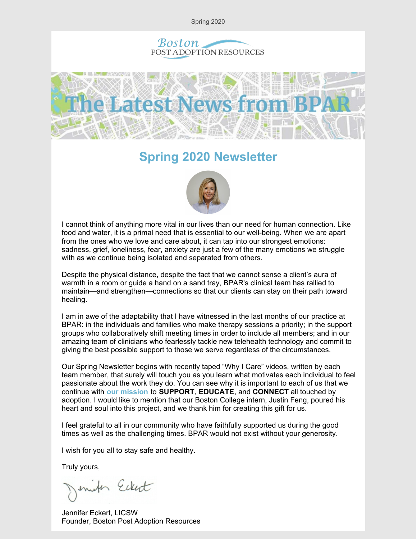Spring 2020





### **Spring 2020 Newsletter**



I cannot think of anything more vital in our lives than our need for human connection. Like food and water, it is a primal need that is essential to our well-being. When we are apart from the ones who we love and care about, it can tap into our strongest emotions: sadness, grief, loneliness, fear, anxiety are just a few of the many emotions we struggle with as we continue being isolated and separated from others.

Despite the physical distance, despite the fact that we cannot sense a client's aura of warmth in a room or guide a hand on a sand tray, BPAR's clinical team has rallied to maintain—and strengthen—connections so that our clients can stay on their path toward healing.

I am in awe of the adaptability that I have witnessed in the last months of our practice at BPAR: in the individuals and families who make therapy sessions a priority; in the support groups who collaboratively shift meeting times in order to include all members; and in our amazing team of clinicians who fearlessly tackle new telehealth technology and commit to giving the best possible support to those we serve regardless of the circumstances.

Our Spring Newsletter begins with recently taped "Why I Care" videos, written by each team member, that surely will touch you as you learn what motivates each individual to feel passionate about the work they do. You can see why it is important to each of us that we continue with **our [mission](https://bpar.org/about-boston-post-adoption-resources/)** to **SUPPORT**, **EDUCATE**, and **CONNECT** all touched by adoption. I would like to mention that our Boston College intern, Justin Feng, poured his heart and soul into this project, and we thank him for creating this gift for us.

I feel grateful to all in our community who have faithfully supported us during the good times as well as the challenging times. BPAR would not exist without your generosity.

I wish for you all to stay safe and healthy.

Truly yours,

enites Ecket

Jennifer Eckert, LICSW Founder, Boston Post Adoption Resources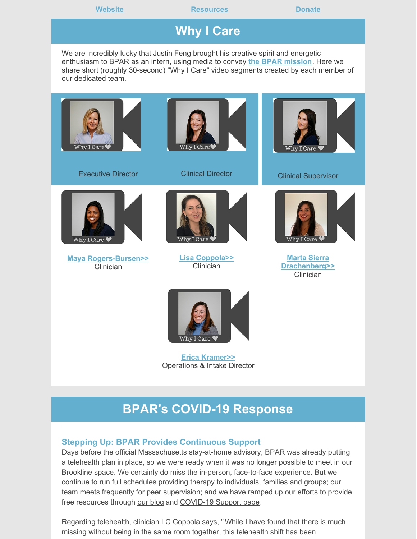**Website Construction [Resources](https://bpar.org/post-adoption-resources-center/) Construction [Donate](https://bpar.org/our-vision/)** 

# **Why I Care**

We are incredibly lucky that Justin Feng brought his creative spirit and energetic enthusiasm to BPAR as an intern, using media to convey **the BPAR [mission](https://bpar.org/about-boston-post-adoption-resources/)**. Here we share short (roughly 30-second) "Why I Care" video segments created by each member of our dedicated team.



Executive Director



Clinical Director



Clinical Supervisor



**Maya [Rogers-Bursen>>](https://bpar.org/maya-rogers-bursen-why-i-care/)** Clinician



**Lisa [Coppola>>](https://bpar.org/lisa-coppola-why-i-care/) Clinician** 



**Marta Sierra [Drachenberg>>](https://bpar.org/marta-sierra-drachenberg-why-i-care/)** Clinician



**Erica [Kramer>>](https://bpar.org/erica-kramer-why-i-care/)** Operations & Intake Director

# **BPAR's COVID-19 Response**

### **Stepping Up: BPAR Provides Continuous Support**

Days before the official Massachusetts stay-at-home advisory, BPAR was already putting a telehealth plan in place, so we were ready when it was no longer possible to meet in our Brookline space. We certainly do miss the in-person, face-to-face experience. But we continue to run full schedules providing therapy to individuals, families and groups; our team meets frequently for peer supervision; and we have ramped up our efforts to provide free resources through our [blog](https://bpar.org/blog-2/) and [COVID-19](https://bpar.org/covid-19-resources/) Support page.

Regarding telehealth, clinician LC Coppola says, " While I have found that there is much missing without being in the same room together, this telehealth shift has been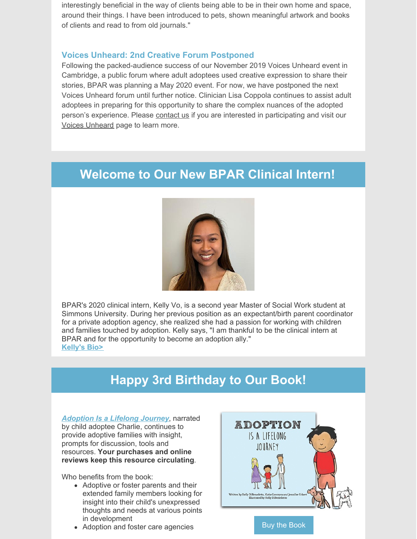interestingly beneficial in the way of clients being able to be in their own home and space, around their things. I have been introduced to pets, shown meaningful artwork and books of clients and read to from old journals."

### **Voices Unheard: 2nd Creative Forum Postponed**

Following the packed-audience success of our November 2019 Voices Unheard event in Cambridge, a public forum where adult adoptees used creative expression to share their stories, BPAR was planning a May 2020 event. For now, we have postponed the next Voices Unheard forum until further notice. Clinician Lisa Coppola continues to assist adult adoptees in preparing for this opportunity to share the complex nuances of the adopted person's experience. Please [contact](mailto:info@bpar.org) us if you are interested in participating and visit our Voices [Unheard](https://bpar.org/voices-unheard/) page to learn more.

### **Welcome to Our New BPAR Clinical Intern!**



BPAR's 2020 clinical intern, Kelly Vo, is a second year Master of Social Work student at Simmons University. During her previous position as an expectant/birth parent coordinator for a private adoption agency, she realized she had a passion for working with children and families touched by adoption. Kelly says, "I am thankful to be the clinical intern at BPAR and for the opportunity to become an adoption ally." **[Kelly's](https://bpar.org/about-boston-post-adoption-resources/bpar-team/) Bio>**

# **Happy 3rd Birthday to Our Book!**

*[Adoption](https://bpar.org/adoption-is-a-lifelong-journey-book/) Is a Lifelong Journey*, narrated by child adoptee Charlie, continues to provide adoptive families with insight, prompts for discussion, tools and resources. **Your purchases and online reviews keep this resource circulating**.

Who benefits from the book:

- Adoptive or foster parents and their extended family members looking for insight into their child's unexpressed thoughts and needs at various points in development
- Adoption and foster care agencies Buy the [Book](https://www.amazon.com/gp/product/0692797874/ref=as_li_tl?ie=UTF8&camp=1789&creative=9325&creativeASIN=0692797874&linkCode=as2&tag=bostonpostado-20&linkId=f9618477526d84c430b4be2fe2d6889e)

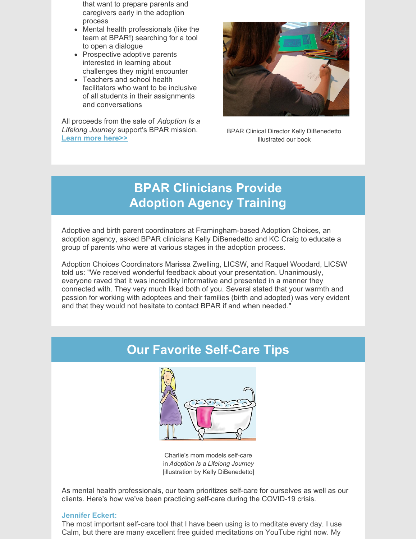that want to prepare parents and caregivers early in the adoption process

- Mental health professionals (like the team at BPAR!) searching for a tool to open a dialogue
- Prospective adoptive parents interested in learning about challenges they might encounter
- Teachers and school health facilitators who want to be inclusive of all students in their assignments and conversations

All proceeds from the sale of *Adoption Is a Lifelong Journey* support's BPAR mission. **Learn more [here>>](https://bpar.org/adoption-is-a-lifelong-journey-book/)**



BPAR Clinical Director Kelly DiBenedetto illustrated our book

# **BPAR Clinicians Provide Adoption Agency Training**

Adoptive and birth parent coordinators at Framingham-based Adoption Choices, an adoption agency, asked BPAR clinicians Kelly DiBenedetto and KC Craig to educate a group of parents who were at various stages in the adoption process.

Adoption Choices Coordinators Marissa Zwelling, LICSW, and Raquel Woodard, LICSW told us: "We received wonderful feedback about your presentation. Unanimously, everyone raved that it was incredibly informative and presented in a manner they connected with. They very much liked both of you. Several stated that your warmth and passion for working with adoptees and their families (birth and adopted) was very evident and that they would not hesitate to contact BPAR if and when needed."

## **Our Favorite Self-Care Tips**



Charlie's mom models self-care in *Adoption Is a Lifelong Journey* [illustration by Kelly DiBenedetto]

As mental health professionals, our team prioritizes self-care for ourselves as well as our clients. Here's how we've been practicing self-care during the COVID-19 crisis.

### **[Jennifer](https://bpar.org/about-boston-post-adoption-resources/bpar-team/) Eckert:**

The most important self-care tool that I have been using is to meditate every day. I use Calm, but there are many excellent free guided meditations on YouTube right now. My